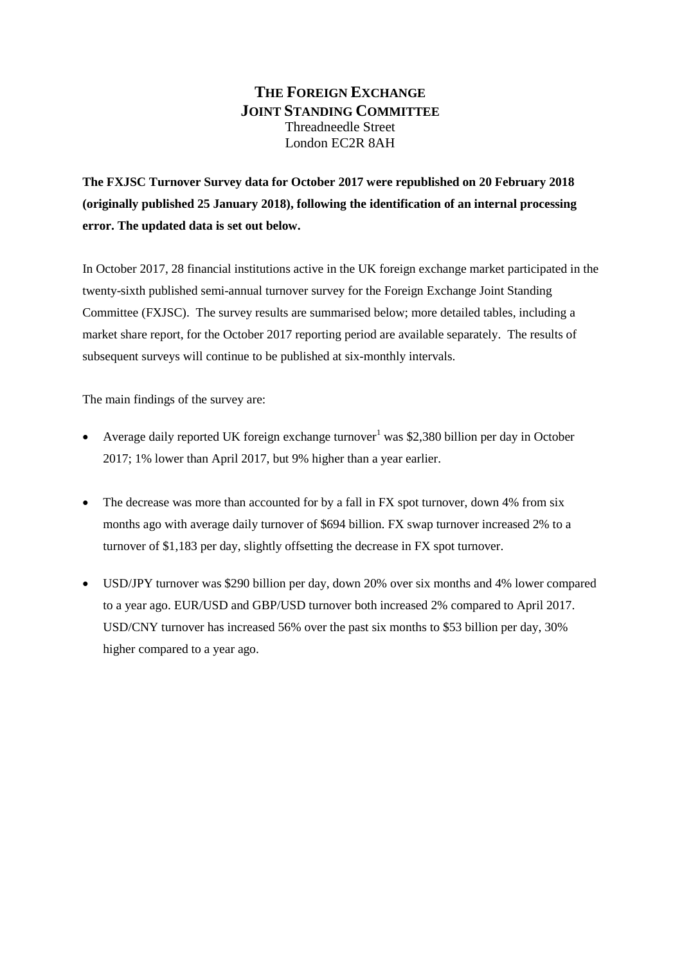### **THE FOREIGN EXCHANGE JOINT STANDING COMMITTEE** Threadneedle Street London EC2R 8AH

**The FXJSC Turnover Survey data for October 2017 were republished on 20 February 2018 (originally published 25 January 2018), following the identification of an internal processing error. The updated data is set out below.**

In October 2017, 28 financial institutions active in the UK foreign exchange market participated in the twenty-sixth published semi-annual turnover survey for the Foreign Exchange Joint Standing Committee (FXJSC). The survey results are summarised below; more detailed tables, including a market share report, for the October 2017 reporting period are available separately. The results of subsequent surveys will continue to be published at six-monthly intervals.

The main findings of the survey are:

- Average daily reported UK foreign exchange turnover<sup>1</sup> was \$2,380 billion per day in October 2017; 1% lower than April 2017, but 9% higher than a year earlier.
- The decrease was more than accounted for by a fall in FX spot turnover, down 4% from six months ago with average daily turnover of \$694 billion. FX swap turnover increased 2% to a turnover of \$1,183 per day, slightly offsetting the decrease in FX spot turnover.
- USD/JPY turnover was \$290 billion per day, down 20% over six months and 4% lower compared to a year ago. EUR/USD and GBP/USD turnover both increased 2% compared to April 2017. USD/CNY turnover has increased 56% over the past six months to \$53 billion per day, 30% higher compared to a year ago.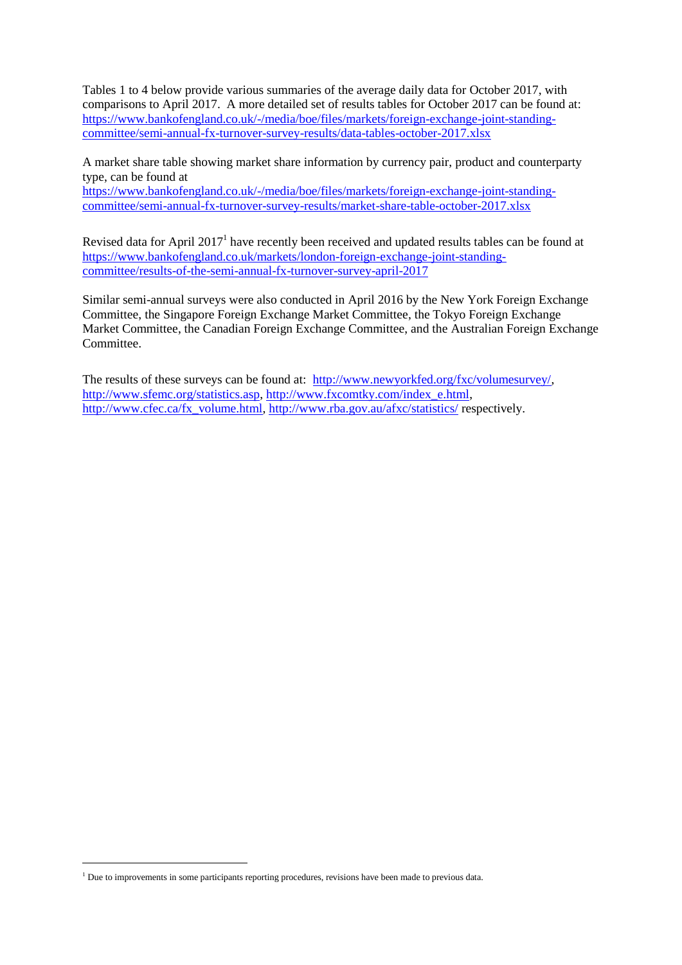Tables 1 to 4 below provide various summaries of the average daily data for October 2017, with comparisons to April 2017. A more detailed set of results tables for October 2017 can be found at: [https://www.bankofengland.co.uk/-/media/boe/files/markets/foreign-exchange-joint-standing](https://www.bankofengland.co.uk/-/media/boe/files/markets/foreign-exchange-joint-standing-committee/semi-annual-fx-turnover-survey-results/data-tables-october-2017.xlsx)[committee/semi-annual-fx-turnover-survey-results/data-tables-october-2017.xlsx](https://www.bankofengland.co.uk/-/media/boe/files/markets/foreign-exchange-joint-standing-committee/semi-annual-fx-turnover-survey-results/data-tables-october-2017.xlsx) 

A market share table showing market share information by currency pair, product and counterparty type, can be found at

[https://www.bankofengland.co.uk/-/media/boe/files/markets/foreign-exchange-joint-standing](https://www.bankofengland.co.uk/-/media/boe/files/markets/foreign-exchange-joint-standing-committee/semi-annual-fx-turnover-survey-results/market-share-table-october-2017.xlsx)[committee/semi-annual-fx-turnover-survey-results/market-share-table-october-2017.xlsx](https://www.bankofengland.co.uk/-/media/boe/files/markets/foreign-exchange-joint-standing-committee/semi-annual-fx-turnover-survey-results/market-share-table-october-2017.xlsx)

Revised data for April  $2017<sup>1</sup>$  have recently been received and updated results tables can be found at [https://www.bankofengland.co.uk/markets/london-foreign-exchange-joint-standing](https://www.bankofengland.co.uk/markets/london-foreign-exchange-joint-standing-committee/results-of-the-semi-annual-fx-turnover-survey-april-2017)[committee/results-of-the-semi-annual-fx-turnover-survey-april-2017](https://www.bankofengland.co.uk/markets/london-foreign-exchange-joint-standing-committee/results-of-the-semi-annual-fx-turnover-survey-april-2017)

Similar semi-annual surveys were also conducted in April 2016 by the New York Foreign Exchange Committee, the Singapore Foreign Exchange Market Committee, the Tokyo Foreign Exchange Market Committee, the Canadian Foreign Exchange Committee, and the Australian Foreign Exchange Committee.

The results of these surveys can be found at: [http://www.newyorkfed.org/fxc/volumesurvey/,](http://www.newyorkfed.org/fxc/volumesurvey/) [http://www.sfemc.org/statistics.asp,](http://www.sfemc.org/statistics.asp) [http://www.fxcomtky.com/index\\_e.html,](http://www.fxcomtky.com/index_e.html) [http://www.cfec.ca/fx\\_volume.html,](http://www.cfec.ca/fx_volume.html)<http://www.rba.gov.au/afxc/statistics/> respectively.

1

<sup>&</sup>lt;sup>1</sup> Due to improvements in some participants reporting procedures, revisions have been made to previous data.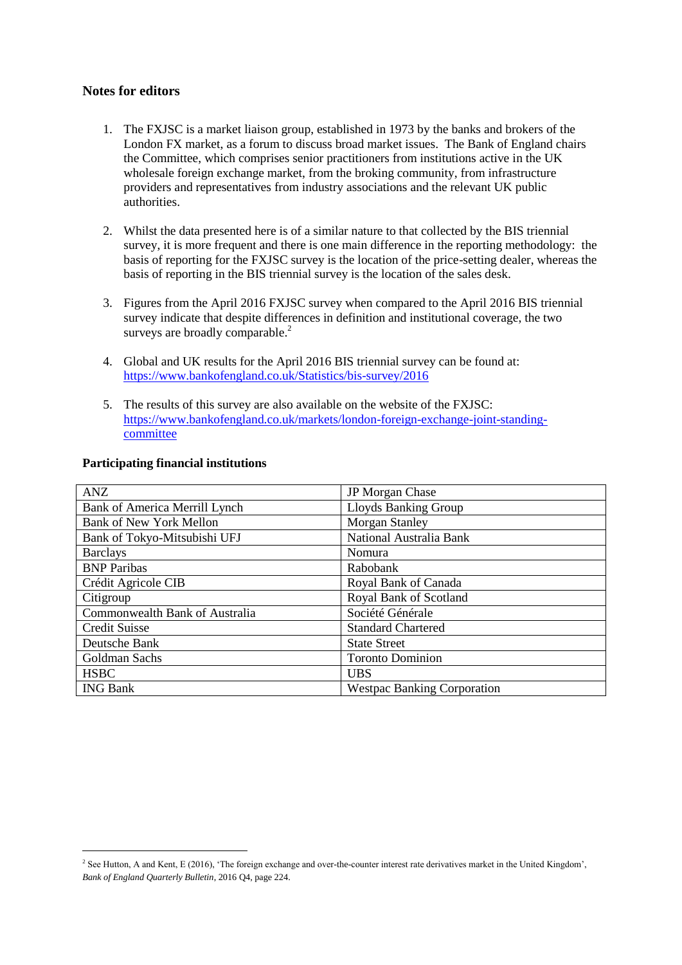#### **Notes for editors**

- 1. The FXJSC is a market liaison group, established in 1973 by the banks and brokers of the London FX market, as a forum to discuss broad market issues. The Bank of England chairs the Committee, which comprises senior practitioners from institutions active in the UK wholesale foreign exchange market, from the broking community, from infrastructure providers and representatives from industry associations and the relevant UK public authorities.
- 2. Whilst the data presented here is of a similar nature to that collected by the BIS triennial survey, it is more frequent and there is one main difference in the reporting methodology: the basis of reporting for the FXJSC survey is the location of the price-setting dealer, whereas the basis of reporting in the BIS triennial survey is the location of the sales desk.
- 3. Figures from the April 2016 FXJSC survey when compared to the April 2016 BIS triennial survey indicate that despite differences in definition and institutional coverage, the two surveys are broadly comparable.<sup>2</sup>
- 4. Global and UK results for the April 2016 BIS triennial survey can be found at: <https://www.bankofengland.co.uk/Statistics/bis-survey/2016>
- 5. The results of this survey are also available on the website of the FXJSC: [https://www.bankofengland.co.uk/markets/london-foreign-exchange-joint-standing](https://www.bankofengland.co.uk/markets/london-foreign-exchange-joint-standing-committee)[committee](https://www.bankofengland.co.uk/markets/london-foreign-exchange-joint-standing-committee)

| <b>ANZ</b>                     | JP Morgan Chase                    |
|--------------------------------|------------------------------------|
| Bank of America Merrill Lynch  | <b>Lloyds Banking Group</b>        |
| <b>Bank of New York Mellon</b> | Morgan Stanley                     |
| Bank of Tokyo-Mitsubishi UFJ   | National Australia Bank            |
| <b>Barclays</b>                | Nomura                             |
| <b>BNP</b> Paribas             | Rabobank                           |
| Crédit Agricole CIB            | Royal Bank of Canada               |
| Citigroup                      | Royal Bank of Scotland             |
| Commonwealth Bank of Australia | Société Générale                   |
| <b>Credit Suisse</b>           | <b>Standard Chartered</b>          |
| Deutsche Bank                  | <b>State Street</b>                |
| Goldman Sachs                  | <b>Toronto Dominion</b>            |
| <b>HSBC</b>                    | <b>UBS</b>                         |
| <b>ING Bank</b>                | <b>Westpac Banking Corporation</b> |

#### **Participating financial institutions**

1

<sup>&</sup>lt;sup>2</sup> See Hutton, A and Kent, E (2016), 'The foreign exchange and over-the-counter interest rate derivatives market in the United Kingdom', *Bank of England Quarterly Bulletin*, 2016 Q4, page 224.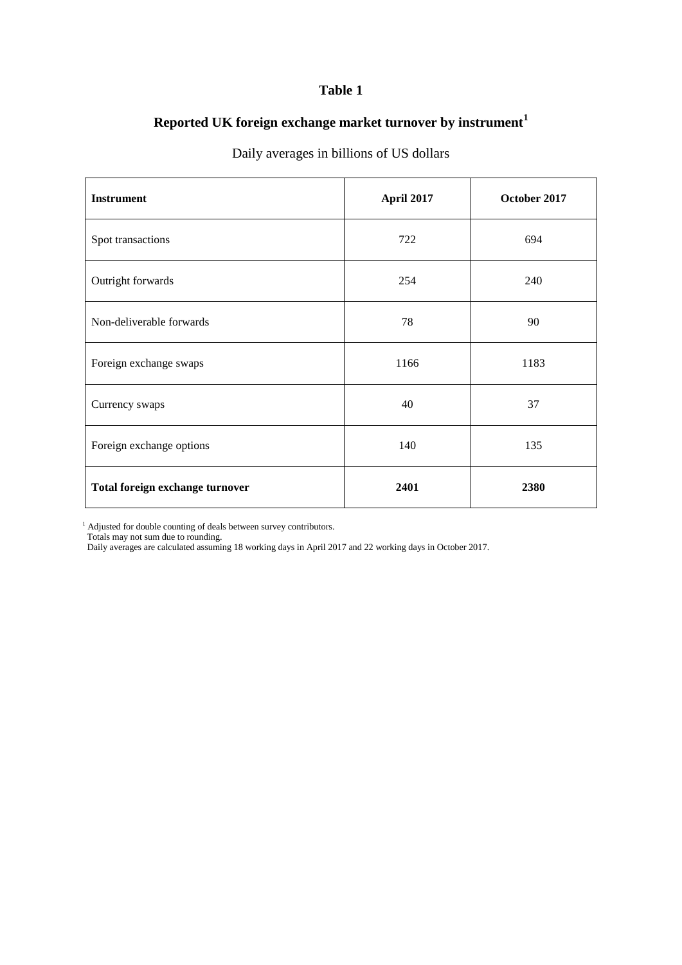# **Reported UK foreign exchange market turnover by instrument<sup>1</sup>**

# **Instrument April 2017 October 2017** Spot transactions 694 Outright forwards 254 240 Non-deliverable forwards 28 1 2 90 Foreign exchange swaps 1166 1183 Currency swaps 37 Foreign exchange options 140 135 Total foreign exchange turnover **2401 2380**

## Daily averages in billions of US dollars

<sup>1</sup> Adjusted for double counting of deals between survey contributors.

Totals may not sum due to rounding.

Daily averages are calculated assuming 18 working days in April 2017 and 22 working days in October 2017.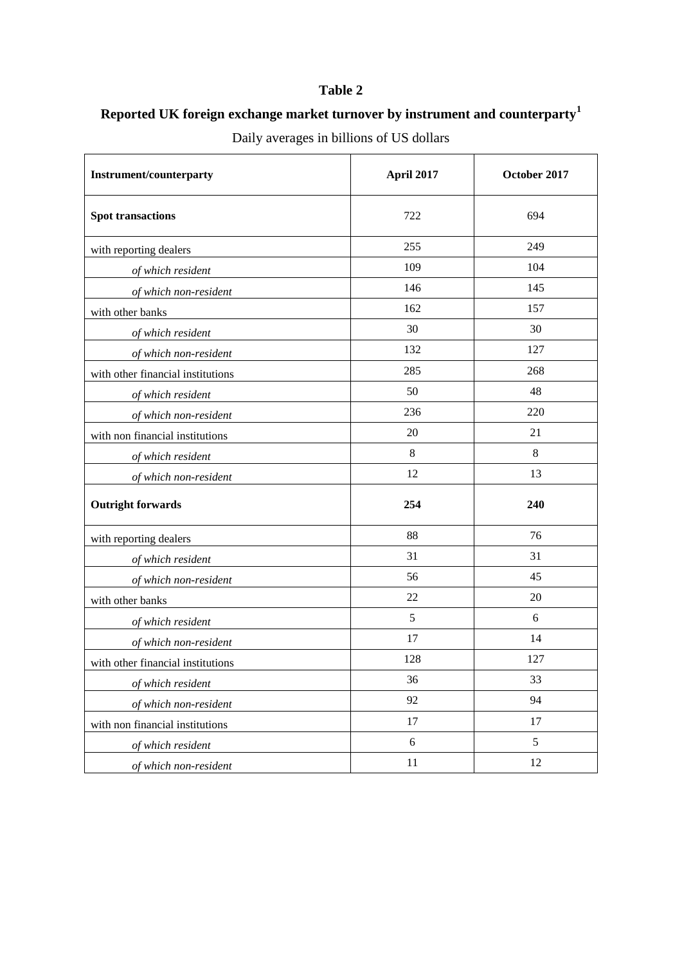# **Reported UK foreign exchange market turnover by instrument and counterparty<sup>1</sup>**

| <b>Instrument/counterparty</b>    | April 2017 | October 2017 |  |
|-----------------------------------|------------|--------------|--|
| <b>Spot transactions</b>          | 722        | 694          |  |
| with reporting dealers            | 255        | 249          |  |
| of which resident                 | 109        | 104          |  |
| of which non-resident             | 146        | 145          |  |
| with other banks                  | 162        | 157          |  |
| of which resident                 | 30         | 30           |  |
| of which non-resident             | 132        | 127          |  |
| with other financial institutions | 285        | 268          |  |
| of which resident                 | 50         | 48           |  |
| of which non-resident             | 236        | 220          |  |
| with non financial institutions   | 20         | 21           |  |
| of which resident                 | $\,8\,$    | $8\,$        |  |
| of which non-resident             | 12         | 13           |  |
| <b>Outright forwards</b>          | 254        | 240          |  |
| with reporting dealers            | 88         | 76           |  |
| of which resident                 | 31         | 31           |  |
| of which non-resident             | 56         | 45           |  |
| with other banks                  | 22         | 20           |  |
| of which resident                 | 5          | 6            |  |
| of which non-resident             | 17         | 14           |  |
| with other financial institutions | 128        | 127          |  |
| of which resident                 | 36         | 33           |  |
| of which non-resident             | 92         | 94           |  |
| with non financial institutions   | $17\,$     | 17           |  |
| of which resident                 | $\sqrt{6}$ | 5            |  |
| of which non-resident             | $11\,$     | 12           |  |

Daily averages in billions of US dollars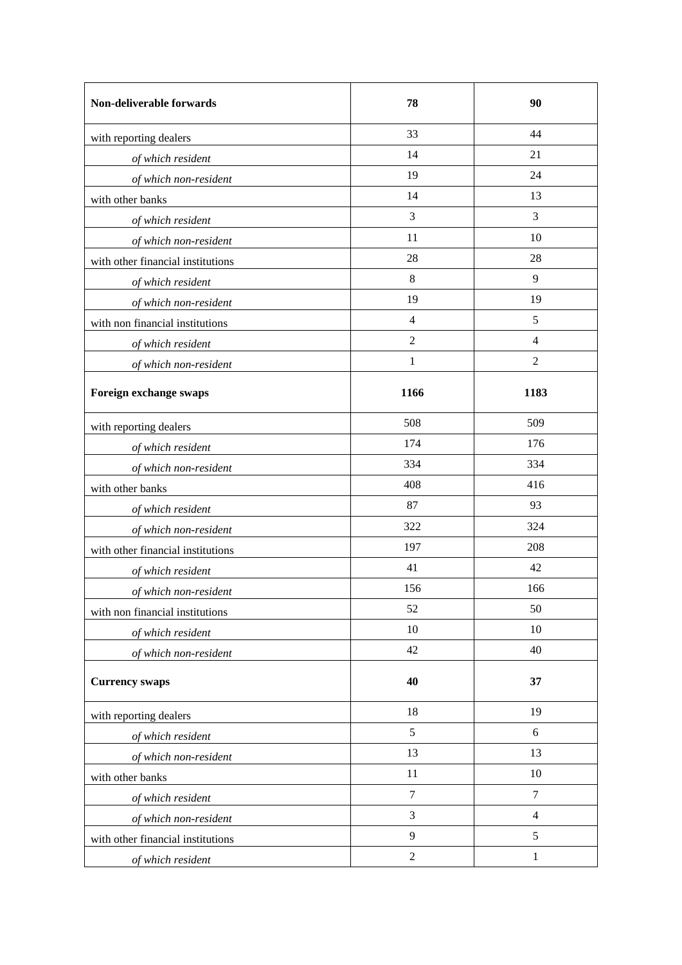| Non-deliverable forwards          | 78               | 90             |
|-----------------------------------|------------------|----------------|
| with reporting dealers            | 33               | 44             |
| of which resident                 | 14               | 21             |
| of which non-resident             | 19               | 24             |
| with other banks                  | 14               | 13             |
| of which resident                 | 3                | 3              |
| of which non-resident             | 11               | 10             |
| with other financial institutions | 28               | 28             |
| of which resident                 | $\,8\,$          | 9              |
| of which non-resident             | 19               | 19             |
| with non financial institutions   | $\overline{4}$   | 5              |
| of which resident                 | $\overline{2}$   | $\overline{4}$ |
| of which non-resident             | $\mathbf{1}$     | $\overline{2}$ |
| Foreign exchange swaps            | 1166             | 1183           |
| with reporting dealers            | 508              | 509            |
| of which resident                 | 174              | 176            |
| of which non-resident             | 334              | 334            |
| with other banks                  | 408              | 416            |
| of which resident                 | 87               | 93             |
| of which non-resident             | 322              | 324            |
| with other financial institutions | 197              | 208            |
| of which resident                 | 41               | 42             |
| of which non-resident             | 156              | 166            |
| with non financial institutions   | 52               | 50             |
| of which resident                 | 10               | 10             |
| of which non-resident             | 42               | 40             |
| <b>Currency swaps</b>             | 40               | 37             |
| with reporting dealers            | 18               | 19             |
| of which resident                 | 5                | 6              |
| of which non-resident             | 13               | 13             |
| with other banks                  | 11               | 10             |
| of which resident                 | $\tau$           | $\tau$         |
| of which non-resident             | 3                | $\overline{4}$ |
| with other financial institutions | 9                | 5              |
| of which resident                 | $\boldsymbol{2}$ | $\mathbf{1}$   |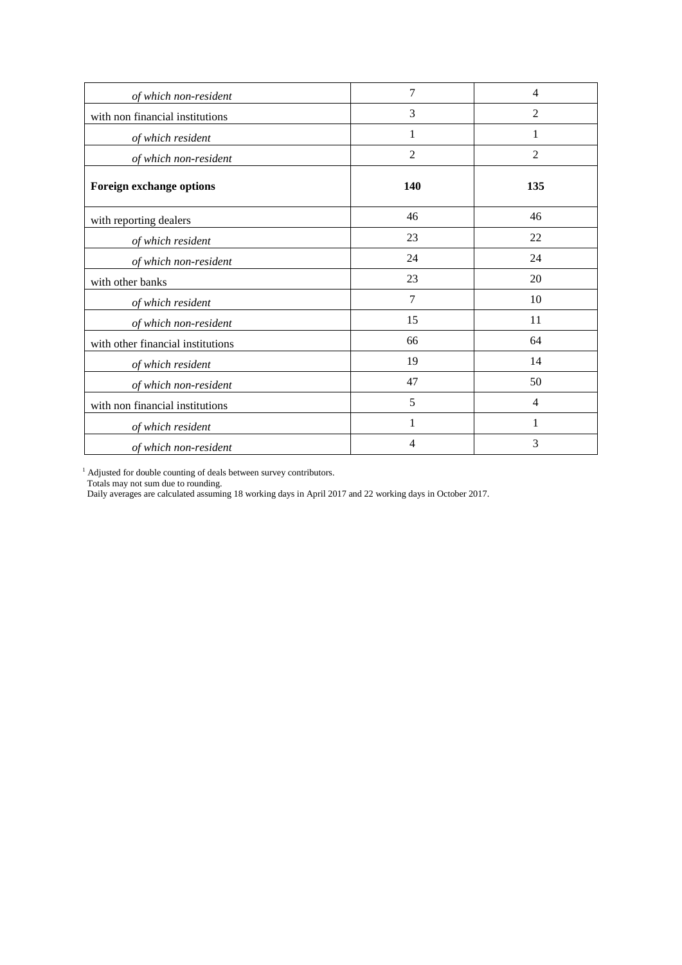| of which non-resident             | 7              | 4              |
|-----------------------------------|----------------|----------------|
| with non financial institutions   | 3              | $\overline{2}$ |
| of which resident                 | 1              | 1              |
| of which non-resident             | $\overline{2}$ | $\overline{c}$ |
| Foreign exchange options          | 140            | 135            |
| with reporting dealers            | 46             | 46             |
| of which resident                 | 23             | 22             |
| of which non-resident             | 24             | 24             |
| with other banks                  | 23             | 20             |
| of which resident                 | 7              | 10             |
| of which non-resident             | 15             | 11             |
| with other financial institutions | 66             | 64             |
| of which resident                 | 19             | 14             |
| of which non-resident             | 47             | 50             |
| with non financial institutions   | 5              | $\overline{4}$ |
| of which resident                 | 1              | 1              |
| of which non-resident             | $\overline{4}$ | 3              |

<sup>1</sup> Adjusted for double counting of deals between survey contributors.

Totals may not sum due to rounding.

Daily averages are calculated assuming 18 working days in April 2017 and 22 working days in October 2017.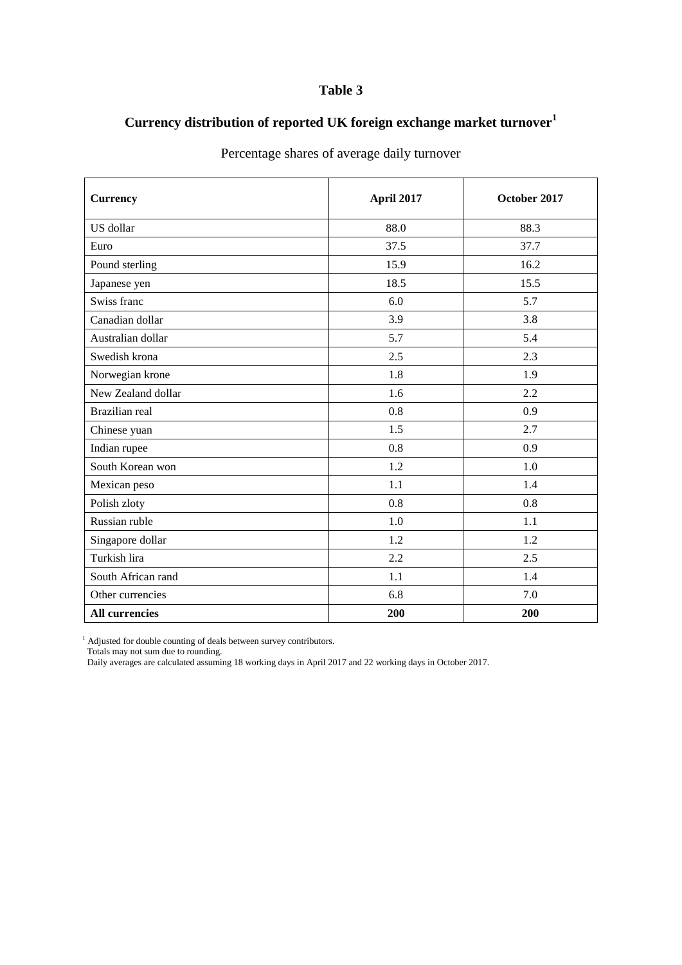# **Currency distribution of reported UK foreign exchange market turnover<sup>1</sup>**

| <b>Currency</b>       | April 2017 | October 2017 |
|-----------------------|------------|--------------|
| US dollar             | 88.0       | 88.3         |
| Euro                  | 37.5       | 37.7         |
| Pound sterling        | 15.9       | 16.2         |
| Japanese yen          | 18.5       | 15.5         |
| Swiss franc           | 6.0        | 5.7          |
| Canadian dollar       | 3.9        | 3.8          |
| Australian dollar     | 5.7        | 5.4          |
| Swedish krona         | 2.5        | 2.3          |
| Norwegian krone       | 1.8        | 1.9          |
| New Zealand dollar    | 1.6        | 2.2          |
| Brazilian real        | 0.8        | 0.9          |
| Chinese yuan          | 1.5        | 2.7          |
| Indian rupee          | 0.8        | 0.9          |
| South Korean won      | 1.2        | 1.0          |
| Mexican peso          | 1.1        | 1.4          |
| Polish zloty          | 0.8        | 0.8          |
| Russian ruble         | $1.0\,$    | 1.1          |
| Singapore dollar      | 1.2        | 1.2          |
| Turkish lira          | 2.2        | 2.5          |
| South African rand    | 1.1        | 1.4          |
| Other currencies      | 6.8        | 7.0          |
| <b>All currencies</b> | 200        | 200          |

Percentage shares of average daily turnover

<sup>1</sup> Adjusted for double counting of deals between survey contributors.

Totals may not sum due to rounding.

Daily averages are calculated assuming 18 working days in April 2017 and 22 working days in October 2017.